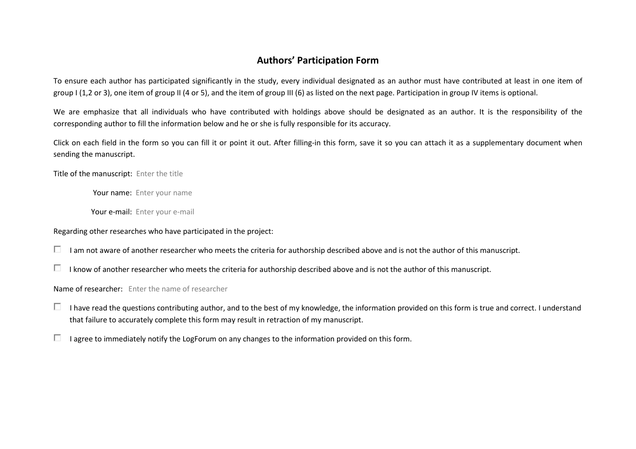## **Authors' Participation Form**

To ensure each author has participated significantly in the study, every individual designated as an author must have contributed at least in one item ofgroup I (1,2 or 3), one item of group II (4 or 5), and the item of group III (6) as listed on the next page. Participation in group IV items is optional.

We are emphasize that all individuals who have contributed with holdings above should be designated as an author. It is the responsibility of the corresponding author to fill the information below and he or she is fully responsible for its accuracy.

Click on each field in the form so you can fill it or point it out. After filling-in this form, save it so you can attach it as a supplementary document when sending the manuscript.

Title of the manuscript: Enter the title

Your name: Enter your name

Your e-mail: Enter your e-mail

Regarding other researches who have participated in the project:

 $\Box$  I am not aware of another researcher who meets the criteria for authorship described above and is not the author of this manuscript.

 $\Box$  I know of another researcher who meets the criteria for authorship described above and is not the author of this manuscript.

Name of researcher: Enter the name of researcher

- I have read the questions contributing author, and to the best of my knowledge, the information provided on this form is true and correct. I understand that failure to accurately complete this form may result in retraction of my manuscript.
- П. I agree to immediately notify the LogForum on any changes to the information provided on this form.